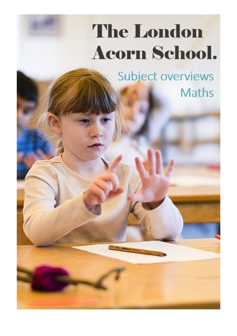## **The London Acorn School.**

Subject overviews **Maths**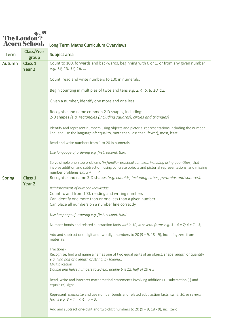| <b>The London</b><br><b>Acorn School.</b> |                              | Long Term Maths Curriculum Overviews                                                                                                                                                                                                           |
|-------------------------------------------|------------------------------|------------------------------------------------------------------------------------------------------------------------------------------------------------------------------------------------------------------------------------------------|
| <b>Term</b>                               | Class/Year<br>group          | Subject area                                                                                                                                                                                                                                   |
| Autumn                                    | Class 1<br>Year <sub>2</sub> | Count to 100, forwards and backwards, beginning with 0 or 1, or from any given number<br>e.g. 19, 18, 17, 16,                                                                                                                                  |
|                                           |                              | Count, read and write numbers to 100 in numerals,                                                                                                                                                                                              |
|                                           |                              | Begin counting in multiples of twos and tens e.g. 2, 4, 6, 8, 10, 12,                                                                                                                                                                          |
|                                           |                              | Given a number, identify one more and one less                                                                                                                                                                                                 |
|                                           |                              | Recognise and name common 2-D shapes, including:<br>2-D shapes (e.g. rectangles (including squares), circles and triangles)                                                                                                                    |
|                                           |                              | Identify and represent numbers using objects and pictorial representations including the number<br>line, and use the language of: equal to, more than, less than (fewer), most, least                                                          |
|                                           |                              | Read and write numbers from 1 to 20 in numerals                                                                                                                                                                                                |
|                                           |                              | Use language of ordering e.g. first, second, third                                                                                                                                                                                             |
|                                           |                              | Solve simple one-step problems (in familiar practical contexts, including using quantities) that<br>involve addition and subtraction, using concrete objects and pictorial representations, and missing<br>number problems <i>e.g.</i> $3 + 7$ |
| <b>Spring</b>                             | Class 1<br>Year 2            | Recognise and name 3-D shapes (e.g. cuboids, including cubes, pyramids and spheres).                                                                                                                                                           |
|                                           |                              | Reinforcement of number knowledge                                                                                                                                                                                                              |
|                                           |                              | Count to and from 100, reading and writing numbers<br>Can identify one more than or one less than a given number                                                                                                                               |
|                                           |                              | Can place all numbers on a number line correctly                                                                                                                                                                                               |
|                                           |                              | Use language of ordering e.g. first, second, third                                                                                                                                                                                             |
|                                           |                              | Number bonds and related subtraction facts within 10, in several forms e.g. $3 + 4 = 7$ ; $4 = 7 - 3$ ;                                                                                                                                        |
|                                           |                              | Add and subtract one-digit and two-digit numbers to 20 ( $9 + 9$ , 18 - 9), including zero from<br>materials                                                                                                                                   |
|                                           |                              | Fractions-<br>Recognise, find and name a half as one of two equal parts of an object, shape, length or quantity<br>e.g. Find half of a length of string, by folding;.<br>Multiplication                                                        |
|                                           |                              | Double and halve numbers to 20 e.g. double 6 is 12, half of 10 is 5                                                                                                                                                                            |
|                                           |                              | Read, write and interpret mathematical statements involving addition (+), subtraction (-) and<br>equals $(=)$ signs                                                                                                                            |
|                                           |                              | Represent, memorise and use number bonds and related subtraction facts within 10, in several<br>forms e.g. $3 + 4 = 7$ ; $4 = 7 - 3$ ;                                                                                                         |
|                                           |                              | Add and subtract one-digit and two-digit numbers to 20 (9 + 9, 18 - 9), incl. zero                                                                                                                                                             |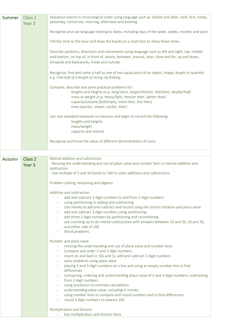| Summer | Class 1<br>Year 3                       | Sequence events in chronological order using language such as: before and after, next, first, today,<br>yesterday, tomorrow, morning, afternoon and evening                                                                                                                                                                                                                                                                                                                                                                                                                                                                                                                                                       |
|--------|-----------------------------------------|-------------------------------------------------------------------------------------------------------------------------------------------------------------------------------------------------------------------------------------------------------------------------------------------------------------------------------------------------------------------------------------------------------------------------------------------------------------------------------------------------------------------------------------------------------------------------------------------------------------------------------------------------------------------------------------------------------------------|
|        |                                         | Recognise and use language relating to dates, including days of the week, weeks, months and years                                                                                                                                                                                                                                                                                                                                                                                                                                                                                                                                                                                                                 |
|        |                                         | Tell the time to the hour and draw the hands on a clock face to show these times.                                                                                                                                                                                                                                                                                                                                                                                                                                                                                                                                                                                                                                 |
|        |                                         | Describe positions, directions and movements using language such as left and right, top, middle<br>and bottom, on top of, in front of, above, between, around, near, close and far, up and down,<br>forwards and backwards, inside and outside                                                                                                                                                                                                                                                                                                                                                                                                                                                                    |
|        |                                         | Recognise, find and name a half as one of two equal parts of an object, shape, length or quantity<br>e.g. Find half of a length of string, by folding;.                                                                                                                                                                                                                                                                                                                                                                                                                                                                                                                                                           |
|        |                                         | Compare, describe and solve practical problems for:<br>lengths and heights (e.g. long/short, longer/shorter, tall/short, double/half)<br>mass or weight (e.g. heavy/light, heavier than, lighter than)<br>capacity/volume (full/empty, more than, less than)<br>time (quicker, slower, earlier, later)                                                                                                                                                                                                                                                                                                                                                                                                            |
|        |                                         | Use non standard measures to measure and begin to record the following:<br>lengths and heights<br>mass/weight                                                                                                                                                                                                                                                                                                                                                                                                                                                                                                                                                                                                     |
|        |                                         | capacity and volume                                                                                                                                                                                                                                                                                                                                                                                                                                                                                                                                                                                                                                                                                               |
|        |                                         | Recognise and know the value of different denominations of coins                                                                                                                                                                                                                                                                                                                                                                                                                                                                                                                                                                                                                                                  |
|        |                                         |                                                                                                                                                                                                                                                                                                                                                                                                                                                                                                                                                                                                                                                                                                                   |
| Autumn | Class <sub>2</sub><br>Year <sub>3</sub> | Mental addition and subtraction<br>- Revising the understanding and use of place value and number facts in mental addition and<br>subtraction<br>- Use multiple of 5 and 10 bonds to 100 to solve additions and subtractions                                                                                                                                                                                                                                                                                                                                                                                                                                                                                      |
|        |                                         | Problem solving, reasoning and algebra                                                                                                                                                                                                                                                                                                                                                                                                                                                                                                                                                                                                                                                                            |
|        |                                         | Addition and subtraction<br>add and subtract 1-digit numbers to and from 2-digit numbers<br>using partitioning in adding and subtracting<br>Use money to add and subtract and record using the correct notation and place value<br>add and subtract 2-digit numbers using partitioning<br>٠<br>add three 2-digit numbers by partitioning and recombining<br>$\blacksquare$<br>use counting up to do mental subtractions with answers between 10 and 20, 10 and 30,<br>$\overline{\phantom{a}}$<br>and either side of 100<br>Word problems                                                                                                                                                                         |
|        |                                         | Number and place value<br>revising the understanding and use of place value and number facts<br>Compare and order 2-and 3-digit numbers<br>count on and back in 10s and 1s; add and subtract 2-digit numbers<br>solve problems using place value<br>placing 2-and 3-digit numbers on a line and using an empty number line to find<br>differences<br>Comparing, ordering and understanding place value of 2-and 3-digit numbers; subtracting<br>from 2-digit numbers<br>using prediction to estimate calculations<br>understanding place value, including in money<br>using number lines to compare and round numbers and to find differences<br>$\overline{\phantom{a}}$<br>round 3-digit numbers to nearest 100 |
|        |                                         | Multiplication and division<br>key multiplication and division facts                                                                                                                                                                                                                                                                                                                                                                                                                                                                                                                                                                                                                                              |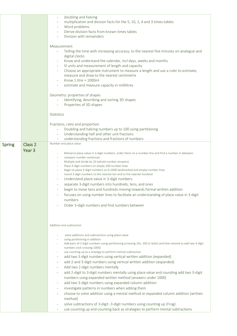|               |                    | doubling and halving                                                                                                                              |
|---------------|--------------------|---------------------------------------------------------------------------------------------------------------------------------------------------|
|               |                    | multiplication and division facts for the 5, 10, 2, 4 and 3 times-tables<br>$\overline{\phantom{a}}$                                              |
|               |                    | Word problems                                                                                                                                     |
|               |                    | Derive division facts from known times tables                                                                                                     |
|               |                    | Division with remainders                                                                                                                          |
|               |                    |                                                                                                                                                   |
|               |                    | Measurement                                                                                                                                       |
|               |                    | Telling the time with increasing accuracy; to the nearest five minutes on analogue and                                                            |
|               |                    | digital clocks                                                                                                                                    |
|               |                    | Know and understand the calendar, incl days, weeks and months                                                                                     |
|               |                    | SI units and measurement of length and capacity                                                                                                   |
|               |                    | Choose an appropriate instrument to measure a length and use a ruler to estimate,                                                                 |
|               |                    | measure and draw to the nearest centimetre                                                                                                        |
|               |                    | Know $1$ litre = $1000$ ml                                                                                                                        |
|               |                    | estimate and measure capacity in millilitres                                                                                                      |
|               |                    |                                                                                                                                                   |
|               |                    | Geometry: properties of shapes                                                                                                                    |
|               |                    | Identifying, describing and sorting 3D shapes                                                                                                     |
|               |                    | Properties of 3D shapes                                                                                                                           |
|               |                    |                                                                                                                                                   |
|               |                    | <b>Statistics</b>                                                                                                                                 |
|               |                    |                                                                                                                                                   |
|               |                    | Fractions, ratio and proportion                                                                                                                   |
|               |                    | Doubling and halving numbers up to 100 using partitioning<br>Understanding half and other unit fractions                                          |
|               |                    | understanding fractions and fractions of numbers                                                                                                  |
|               | Class <sub>2</sub> | Number and place value                                                                                                                            |
| <b>Spring</b> |                    |                                                                                                                                                   |
|               | Year <sub>3</sub>  | Rehearse place value in 3-digit numbers, order them on a number line and find a number in between                                                 |
|               |                    | compare number sentences                                                                                                                          |
|               |                    | Multiply and divide by 10 (whole number answers)                                                                                                  |
|               |                    | Place 3-digit numbers on empty 100 number lines                                                                                                   |
|               |                    | begin to place 3-digit numbers on 0-1000 landmarked and empty number lines<br>round 3-digit numbers to the nearest ten and to the nearest hundred |
|               |                    | Understand place-value in 3-digit numbers                                                                                                         |
|               |                    | separate 3-digit numbers into hundreds, tens, and ones                                                                                            |
|               |                    | begin to move tens and hundreds moving towards formal written addition                                                                            |
|               |                    | focuses on using number lines to facilitate an understanding of place value in 3-digit                                                            |
|               |                    | numbers                                                                                                                                           |
|               |                    |                                                                                                                                                   |
|               |                    | Order 3-digit numbers and find numbers between                                                                                                    |
|               |                    |                                                                                                                                                   |
|               |                    |                                                                                                                                                   |
|               |                    | Addition and subtraction                                                                                                                          |
|               |                    |                                                                                                                                                   |
|               |                    | solve additions and subtractions using place value                                                                                                |
|               |                    | using partitioning in addition                                                                                                                    |
|               |                    | Add pairs of 2-digit numbers using partitioning (crossing 10s, 100 or both) and then extend to add two 3-digit                                    |
|               |                    | numbers (not crossing 1000)                                                                                                                       |
|               |                    | use counting up as a strategy to perform mental subtraction                                                                                       |
|               |                    | add two 3-digit numbers using vertical written addition (expanded)<br>٠                                                                           |
|               |                    | add 2-and 3-digit numbers using vertical written addition (expanded)                                                                              |
|               |                    | Add two 2-digit numbers mentally                                                                                                                  |
|               |                    | add 2-digit to 3-digit numbers mentally using place value and rounding add two 3-digit                                                            |
|               |                    | numbers using expanded written method (answers under 1000)                                                                                        |
|               |                    | add two 3-digit numbers using expanded column addition<br>$\overline{\phantom{a}}$                                                                |
|               |                    | investigate patterns in numbers when adding them                                                                                                  |
|               |                    | choose to solve addition using a mental method or expanded column addition (written                                                               |
|               |                    | method)                                                                                                                                           |
|               |                    | solve subtractions of 3-digit -3-digit numbers using counting up (Frog)                                                                           |
|               |                    | use counting up and counting back as strategies to perform mental subtractions                                                                    |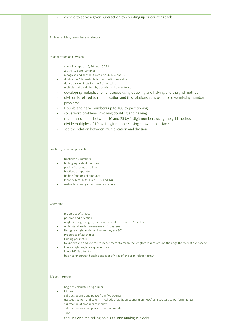| Problem solving, reasoning and algebra<br>Multiplication and Division<br>count in steps of 10, 50 and 100.12<br>2, 3, 4, 5, 8 and 10 times<br>recognise and sort multiples of 2, 3, 4, 5, and 10<br>double the 4 times-table to find the 8 times-table<br>$\blacksquare$<br>derive division facts for the 8 times-table<br>$\overline{\phantom{a}}$<br>multiply and divide by 4 by doubling or halving twice<br>$\overline{\phantom{a}}$<br>developing multiplication strategies using doubling and halving and the grid method<br>$\blacksquare$<br>division is related to multiplication and this relationship is used to solve missing number<br>$\blacksquare$<br>problems<br>Double and halve numbers up to 100 by partitioning<br>$\overline{\phantom{a}}$<br>solve word problems involving doubling and halving<br>$\overline{\phantom{a}}$ |  |
|----------------------------------------------------------------------------------------------------------------------------------------------------------------------------------------------------------------------------------------------------------------------------------------------------------------------------------------------------------------------------------------------------------------------------------------------------------------------------------------------------------------------------------------------------------------------------------------------------------------------------------------------------------------------------------------------------------------------------------------------------------------------------------------------------------------------------------------------------|--|
|                                                                                                                                                                                                                                                                                                                                                                                                                                                                                                                                                                                                                                                                                                                                                                                                                                                    |  |
|                                                                                                                                                                                                                                                                                                                                                                                                                                                                                                                                                                                                                                                                                                                                                                                                                                                    |  |
|                                                                                                                                                                                                                                                                                                                                                                                                                                                                                                                                                                                                                                                                                                                                                                                                                                                    |  |
|                                                                                                                                                                                                                                                                                                                                                                                                                                                                                                                                                                                                                                                                                                                                                                                                                                                    |  |
|                                                                                                                                                                                                                                                                                                                                                                                                                                                                                                                                                                                                                                                                                                                                                                                                                                                    |  |
|                                                                                                                                                                                                                                                                                                                                                                                                                                                                                                                                                                                                                                                                                                                                                                                                                                                    |  |
|                                                                                                                                                                                                                                                                                                                                                                                                                                                                                                                                                                                                                                                                                                                                                                                                                                                    |  |
|                                                                                                                                                                                                                                                                                                                                                                                                                                                                                                                                                                                                                                                                                                                                                                                                                                                    |  |
|                                                                                                                                                                                                                                                                                                                                                                                                                                                                                                                                                                                                                                                                                                                                                                                                                                                    |  |
|                                                                                                                                                                                                                                                                                                                                                                                                                                                                                                                                                                                                                                                                                                                                                                                                                                                    |  |
|                                                                                                                                                                                                                                                                                                                                                                                                                                                                                                                                                                                                                                                                                                                                                                                                                                                    |  |
|                                                                                                                                                                                                                                                                                                                                                                                                                                                                                                                                                                                                                                                                                                                                                                                                                                                    |  |
|                                                                                                                                                                                                                                                                                                                                                                                                                                                                                                                                                                                                                                                                                                                                                                                                                                                    |  |
| multiply numbers between 10 and 25 by 1-digit numbers using the grid method<br>$\overline{\phantom{a}}$                                                                                                                                                                                                                                                                                                                                                                                                                                                                                                                                                                                                                                                                                                                                            |  |
| divide multiples of 10 by 1-digit numbers using known tables facts<br>۰                                                                                                                                                                                                                                                                                                                                                                                                                                                                                                                                                                                                                                                                                                                                                                            |  |
| see the relation between multiplication and division<br>$\overline{\phantom{a}}$                                                                                                                                                                                                                                                                                                                                                                                                                                                                                                                                                                                                                                                                                                                                                                   |  |
|                                                                                                                                                                                                                                                                                                                                                                                                                                                                                                                                                                                                                                                                                                                                                                                                                                                    |  |
| Fractions, ratio and proportion                                                                                                                                                                                                                                                                                                                                                                                                                                                                                                                                                                                                                                                                                                                                                                                                                    |  |
| fractions as numbers                                                                                                                                                                                                                                                                                                                                                                                                                                                                                                                                                                                                                                                                                                                                                                                                                               |  |
| finding equivalent fractions<br>$\omega$                                                                                                                                                                                                                                                                                                                                                                                                                                                                                                                                                                                                                                                                                                                                                                                                           |  |
| placing fractions on a line<br>÷.                                                                                                                                                                                                                                                                                                                                                                                                                                                                                                                                                                                                                                                                                                                                                                                                                  |  |
| fractions as operators<br>$\overline{\phantom{a}}$                                                                                                                                                                                                                                                                                                                                                                                                                                                                                                                                                                                                                                                                                                                                                                                                 |  |
| finding fractions of amounts<br>$\overline{\phantom{a}}$<br>Identify 1/2s, 1/3s, 1/4,s 1/6s, and 1/8<br>$\overline{\phantom{a}}$                                                                                                                                                                                                                                                                                                                                                                                                                                                                                                                                                                                                                                                                                                                   |  |
| realise how many of each make a whole<br>ä,                                                                                                                                                                                                                                                                                                                                                                                                                                                                                                                                                                                                                                                                                                                                                                                                        |  |
|                                                                                                                                                                                                                                                                                                                                                                                                                                                                                                                                                                                                                                                                                                                                                                                                                                                    |  |
| Geometry                                                                                                                                                                                                                                                                                                                                                                                                                                                                                                                                                                                                                                                                                                                                                                                                                                           |  |
| properties of shapes                                                                                                                                                                                                                                                                                                                                                                                                                                                                                                                                                                                                                                                                                                                                                                                                                               |  |
| position and direction<br>÷,<br>Angles incl right angles, measurement of turn and the ° symbol<br>$\bar{a}$                                                                                                                                                                                                                                                                                                                                                                                                                                                                                                                                                                                                                                                                                                                                        |  |
| understand angles are measured in degrees<br>$\bar{a}$                                                                                                                                                                                                                                                                                                                                                                                                                                                                                                                                                                                                                                                                                                                                                                                             |  |
| Recognise right angles and know they are 90°<br>$\bar{a}$                                                                                                                                                                                                                                                                                                                                                                                                                                                                                                                                                                                                                                                                                                                                                                                          |  |
| Properties of 2D shapes<br>$\sim$                                                                                                                                                                                                                                                                                                                                                                                                                                                                                                                                                                                                                                                                                                                                                                                                                  |  |
| Finding perimeter<br>$\overline{\phantom{a}}$                                                                                                                                                                                                                                                                                                                                                                                                                                                                                                                                                                                                                                                                                                                                                                                                      |  |
| to understand and use the term perimeter to mean the length/distance around the edge (border) of a 2D shape<br>$\overline{\phantom{a}}$                                                                                                                                                                                                                                                                                                                                                                                                                                                                                                                                                                                                                                                                                                            |  |
| know a right angle is a quarter turn<br>$\sim$<br>know 360° is a full turn<br>$\omega$                                                                                                                                                                                                                                                                                                                                                                                                                                                                                                                                                                                                                                                                                                                                                             |  |
| begin to understand angles and identify size of angles in relation to 90°<br>$\sim$                                                                                                                                                                                                                                                                                                                                                                                                                                                                                                                                                                                                                                                                                                                                                                |  |
|                                                                                                                                                                                                                                                                                                                                                                                                                                                                                                                                                                                                                                                                                                                                                                                                                                                    |  |
| Measurement                                                                                                                                                                                                                                                                                                                                                                                                                                                                                                                                                                                                                                                                                                                                                                                                                                        |  |
| begin to calculate using a ruler                                                                                                                                                                                                                                                                                                                                                                                                                                                                                                                                                                                                                                                                                                                                                                                                                   |  |
| Money<br>ä,                                                                                                                                                                                                                                                                                                                                                                                                                                                                                                                                                                                                                                                                                                                                                                                                                                        |  |
| subtract pounds and pence from five pounds                                                                                                                                                                                                                                                                                                                                                                                                                                                                                                                                                                                                                                                                                                                                                                                                         |  |
| use .subtraction, and column methods of addition.counting up (Frog) as a strategy to perform mental                                                                                                                                                                                                                                                                                                                                                                                                                                                                                                                                                                                                                                                                                                                                                |  |
| subtraction of amounts of money<br>subtract pounds and pence from ten pounds                                                                                                                                                                                                                                                                                                                                                                                                                                                                                                                                                                                                                                                                                                                                                                       |  |

- Time
	- focuses on time-telling on digital and analogue clocks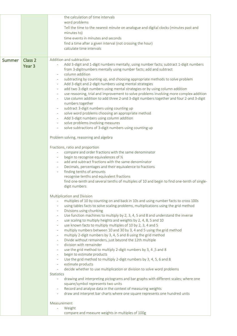|                              | the calculation of time intervals<br>word problems<br>Tell the time to the nearest minute on analogue and digital clocks (minutes past and<br>minutes to)<br>time events in minutes and seconds<br>find a time after a given interval (not crossing the hour)<br>calculate time intervals                                                                                                                                                                                                                                                                                                                                                                                                                                                                                                                                                                                                                                                                                                                                                                                                                                                                                                                                                                                                                                                                                                                                                                                                                                                                                          |
|------------------------------|------------------------------------------------------------------------------------------------------------------------------------------------------------------------------------------------------------------------------------------------------------------------------------------------------------------------------------------------------------------------------------------------------------------------------------------------------------------------------------------------------------------------------------------------------------------------------------------------------------------------------------------------------------------------------------------------------------------------------------------------------------------------------------------------------------------------------------------------------------------------------------------------------------------------------------------------------------------------------------------------------------------------------------------------------------------------------------------------------------------------------------------------------------------------------------------------------------------------------------------------------------------------------------------------------------------------------------------------------------------------------------------------------------------------------------------------------------------------------------------------------------------------------------------------------------------------------------|
| Class 2<br>Year <sub>3</sub> | Addition and subtraction<br>Add 3-digit and 1-digit numbers mentally, using number facts; subtract 1-digit numbers<br>from 3-digitnumbers mentally using number facts; add and subtract<br>column addition<br>subtracting by counting up, and choosing appropriate methods to solve problem<br>$\blacksquare$<br>Add 3-digit and 2-digit numbers using mental strategies<br>$\overline{\phantom{a}}$<br>add two 3-digit numbers using mental strategies or by using column addition<br>$\overline{\phantom{a}}$<br>use reasoning, trial and improvement to solve problems involving more complex addition<br>$\blacksquare$<br>Use column addition to add three 2-and 3-digit numbers together and four 2-and 3-digit<br>numbers together<br>subtract 3-digit numbers using counting up<br>$\overline{\phantom{a}}$<br>solve word problems choosing an appropriate method<br>$\overline{\phantom{a}}$<br>Add 3-digit numbers using column addition<br>solve problems involving measures<br>solve subtractions of 3-digit numbers using counting up<br>Problem solving, reasoning and algebra<br>Fractions, ratio and proportion                                                                                                                                                                                                                                                                                                                                                                                                                                                    |
|                              | compare and order fractions with the same denominator<br>begin to recognise equivalences of 1/2<br>add and subtract fractions with the same denominator<br>$\overline{\phantom{a}}$<br>Decimals, percentages and their equivalence to fractions<br>$\overline{\phantom{a}}$<br>finding tenths of amounts<br>$\overline{\phantom{a}}$<br>recognise tenths and equivalent fractions<br>find one-tenth and several tenths of multiples of 10 and begin to find one-tenth of single-<br>digit numbers                                                                                                                                                                                                                                                                                                                                                                                                                                                                                                                                                                                                                                                                                                                                                                                                                                                                                                                                                                                                                                                                                  |
|                              | Multiplication and Division<br>multiples of 10 by counting on and back in 10s and using number facts to cross 100s<br>using tables facts to solve scaling problems, multiplications using the grid method<br>Divisions using chunking<br>Use function machines to multiply by 2, 3, 4, 5 and 8 and understand the inverse<br>$\overline{\phantom{a}}$<br>use scaling to multiply heights and weights by 2, 4, 8, 5 and 10<br>$\overline{\phantom{a}}$<br>use known facts to multiply multiples of 10 by 2, 3, 4 and 5<br>$\overline{\phantom{a}}$<br>multiply numbers between 10 and 30 by 3, 4 and 5 using the grid method<br>$\blacksquare$<br>multiply 2-digit numbers by 3, 4, 5 and 8 using the grid method<br>$\blacksquare$<br>Divide without remainders, just beyond the 12th multiple<br>$\overline{\phantom{a}}$<br>division with remainder<br>$\overline{\phantom{a}}$<br>use the grid method to multiply 2-digit numbers by 3, 4, 5 and 8<br>$\overline{\phantom{a}}$<br>begin to estimate products<br>Use the grid method to multiply 2-digit numbers by 3, 4, 5, 6 and 8<br>estimate products<br>decide whether to use multiplication or division to solve word problems<br>Statistics<br>drawing and interpreting pictograms and bar graphs with different scales; where one<br>$\overline{\phantom{a}}$<br>square/symbol represents two units<br>Record and analyse data in the context of measuring weights<br>draw and interpret bar charts where one square represents one hundred units<br>$\overline{\phantom{a}}$<br>Measurement<br>$\overline{\phantom{a}}$ |
|                              | Weight<br>compare and measure weights in multiples of 100g                                                                                                                                                                                                                                                                                                                                                                                                                                                                                                                                                                                                                                                                                                                                                                                                                                                                                                                                                                                                                                                                                                                                                                                                                                                                                                                                                                                                                                                                                                                         |
|                              |                                                                                                                                                                                                                                                                                                                                                                                                                                                                                                                                                                                                                                                                                                                                                                                                                                                                                                                                                                                                                                                                                                                                                                                                                                                                                                                                                                                                                                                                                                                                                                                    |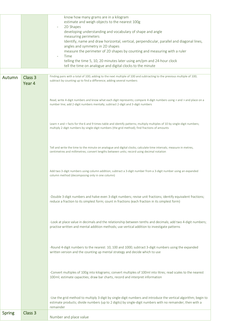| Finding pairs with a total of 100; adding to the next multiple of 100 and subtracting to the previous multiple of 100;<br>Class 3<br>Autumn<br>subtract by counting up to find a difference; adding several numbers<br>Year 4<br>Read, write 4-digit numbers and know what each digit represents; compare 4-digit numbers using < and > and place on a<br>number line; add 2-digit numbers mentally; subtract 2-digit and 3-digit numbers<br>Learn × and ÷ facts for the 6 and 9 times-table and identify patterns; multiply multiples of 10 by single-digit numbers;<br>multiply 2-digit numbers by single-digit numbers (the grid method); find fractions of amounts<br>Tell and write the time to the minute on analogue and digital clocks; calculate time intervals; measure in metres,<br>centimetres and millimetres; convert lengths between units; record using decimal notation<br>Add two 3-digit numbers using column addition; subtract a 3-digit number from a 3-digit number using an expanded<br>column method (decomposing only in one column)<br>-Double 3-digit numbers and halve even 3-digit numbers; revise unit fractions; identify equivalent fractions;<br>reduce a fraction to its simplest form; count in fractions (each fraction in its simplest form)<br>-Look at place value in decimals and the relationship between tenths and decimals; add two 4-digit numbers;<br>practise written and mental addition methods; use vertical addition to investigate patterns<br>-Round 4-digit numbers to the nearest: 10, 100 and 1000; subtract 3-digit numbers using the expanded<br>written version and the counting up mental strategy and decide which to use<br>-Convert multiples of 100g into kilograms; convert multiples of 100ml into litres; read scales to the nearest<br>100ml; estimate capacities; draw bar charts, record and interpret information<br>-Use the grid method to multiply 3-digit by single-digit numbers and introduce the vertical algorithm; begin to<br>estimate products; divide numbers (up to 2 digits) by single-digit numbers with no remainder, then with a<br>remainder<br>Class <sub>3</sub><br><b>Spring</b> |  | know how many grams are in a kilogram<br>estimate and weigh objects to the nearest 100g<br>2D Shapes<br>developing understanding and vocabulary of shape and angle<br>measuring perimeters<br>Identify, name and draw horizontal, vertical, perpendicular, parallel and diagonal lines,<br>angles and symmetry in 2D shapes<br>measure the perimeter of 2D shapes by counting and measuring with a ruler<br>Time<br>telling the time 5, 10, 20 minutes later using am/pm and 24-hour clock<br>tell the time on analogue and digital clocks to the minute |
|--------------------------------------------------------------------------------------------------------------------------------------------------------------------------------------------------------------------------------------------------------------------------------------------------------------------------------------------------------------------------------------------------------------------------------------------------------------------------------------------------------------------------------------------------------------------------------------------------------------------------------------------------------------------------------------------------------------------------------------------------------------------------------------------------------------------------------------------------------------------------------------------------------------------------------------------------------------------------------------------------------------------------------------------------------------------------------------------------------------------------------------------------------------------------------------------------------------------------------------------------------------------------------------------------------------------------------------------------------------------------------------------------------------------------------------------------------------------------------------------------------------------------------------------------------------------------------------------------------------------------------------------------------------------------------------------------------------------------------------------------------------------------------------------------------------------------------------------------------------------------------------------------------------------------------------------------------------------------------------------------------------------------------------------------------------------------------------------------------------------------------------------------------------------------------|--|----------------------------------------------------------------------------------------------------------------------------------------------------------------------------------------------------------------------------------------------------------------------------------------------------------------------------------------------------------------------------------------------------------------------------------------------------------------------------------------------------------------------------------------------------------|
|                                                                                                                                                                                                                                                                                                                                                                                                                                                                                                                                                                                                                                                                                                                                                                                                                                                                                                                                                                                                                                                                                                                                                                                                                                                                                                                                                                                                                                                                                                                                                                                                                                                                                                                                                                                                                                                                                                                                                                                                                                                                                                                                                                                |  |                                                                                                                                                                                                                                                                                                                                                                                                                                                                                                                                                          |
|                                                                                                                                                                                                                                                                                                                                                                                                                                                                                                                                                                                                                                                                                                                                                                                                                                                                                                                                                                                                                                                                                                                                                                                                                                                                                                                                                                                                                                                                                                                                                                                                                                                                                                                                                                                                                                                                                                                                                                                                                                                                                                                                                                                |  |                                                                                                                                                                                                                                                                                                                                                                                                                                                                                                                                                          |
|                                                                                                                                                                                                                                                                                                                                                                                                                                                                                                                                                                                                                                                                                                                                                                                                                                                                                                                                                                                                                                                                                                                                                                                                                                                                                                                                                                                                                                                                                                                                                                                                                                                                                                                                                                                                                                                                                                                                                                                                                                                                                                                                                                                |  |                                                                                                                                                                                                                                                                                                                                                                                                                                                                                                                                                          |
|                                                                                                                                                                                                                                                                                                                                                                                                                                                                                                                                                                                                                                                                                                                                                                                                                                                                                                                                                                                                                                                                                                                                                                                                                                                                                                                                                                                                                                                                                                                                                                                                                                                                                                                                                                                                                                                                                                                                                                                                                                                                                                                                                                                |  |                                                                                                                                                                                                                                                                                                                                                                                                                                                                                                                                                          |
|                                                                                                                                                                                                                                                                                                                                                                                                                                                                                                                                                                                                                                                                                                                                                                                                                                                                                                                                                                                                                                                                                                                                                                                                                                                                                                                                                                                                                                                                                                                                                                                                                                                                                                                                                                                                                                                                                                                                                                                                                                                                                                                                                                                |  |                                                                                                                                                                                                                                                                                                                                                                                                                                                                                                                                                          |
|                                                                                                                                                                                                                                                                                                                                                                                                                                                                                                                                                                                                                                                                                                                                                                                                                                                                                                                                                                                                                                                                                                                                                                                                                                                                                                                                                                                                                                                                                                                                                                                                                                                                                                                                                                                                                                                                                                                                                                                                                                                                                                                                                                                |  |                                                                                                                                                                                                                                                                                                                                                                                                                                                                                                                                                          |
|                                                                                                                                                                                                                                                                                                                                                                                                                                                                                                                                                                                                                                                                                                                                                                                                                                                                                                                                                                                                                                                                                                                                                                                                                                                                                                                                                                                                                                                                                                                                                                                                                                                                                                                                                                                                                                                                                                                                                                                                                                                                                                                                                                                |  |                                                                                                                                                                                                                                                                                                                                                                                                                                                                                                                                                          |
|                                                                                                                                                                                                                                                                                                                                                                                                                                                                                                                                                                                                                                                                                                                                                                                                                                                                                                                                                                                                                                                                                                                                                                                                                                                                                                                                                                                                                                                                                                                                                                                                                                                                                                                                                                                                                                                                                                                                                                                                                                                                                                                                                                                |  |                                                                                                                                                                                                                                                                                                                                                                                                                                                                                                                                                          |
|                                                                                                                                                                                                                                                                                                                                                                                                                                                                                                                                                                                                                                                                                                                                                                                                                                                                                                                                                                                                                                                                                                                                                                                                                                                                                                                                                                                                                                                                                                                                                                                                                                                                                                                                                                                                                                                                                                                                                                                                                                                                                                                                                                                |  |                                                                                                                                                                                                                                                                                                                                                                                                                                                                                                                                                          |
|                                                                                                                                                                                                                                                                                                                                                                                                                                                                                                                                                                                                                                                                                                                                                                                                                                                                                                                                                                                                                                                                                                                                                                                                                                                                                                                                                                                                                                                                                                                                                                                                                                                                                                                                                                                                                                                                                                                                                                                                                                                                                                                                                                                |  |                                                                                                                                                                                                                                                                                                                                                                                                                                                                                                                                                          |
|                                                                                                                                                                                                                                                                                                                                                                                                                                                                                                                                                                                                                                                                                                                                                                                                                                                                                                                                                                                                                                                                                                                                                                                                                                                                                                                                                                                                                                                                                                                                                                                                                                                                                                                                                                                                                                                                                                                                                                                                                                                                                                                                                                                |  | Number and place value                                                                                                                                                                                                                                                                                                                                                                                                                                                                                                                                   |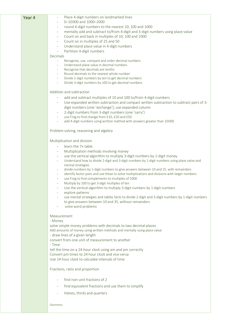| Year 4 | Place 4-digit numbers on landmarked lines                                                                                                           |
|--------|-----------------------------------------------------------------------------------------------------------------------------------------------------|
|        | 0-10000 and 1000-2000                                                                                                                               |
|        | round 4-digit numbers to the nearest 10, 100 and 1000                                                                                               |
|        | mentally add and subtract to/from 4-digit and 3-digit numbers using place-value                                                                     |
|        | Count on and back in multiples of 10, 100 and 1000<br>Count on in multiples of 25 and 50                                                            |
|        | Understand place value in 4-digit numbers                                                                                                           |
|        | Partition 4-digit numbers<br>$\overline{\phantom{a}}$                                                                                               |
|        | Decimals                                                                                                                                            |
|        | Recognise, use, compare and order decimal numbers                                                                                                   |
|        | Understand place value in decimal numbers                                                                                                           |
|        | Recognise that decimals are tenths<br>Round decimals to the nearest whole number                                                                    |
|        | Divide 2-digit numbers by ten to get decimal numbers                                                                                                |
|        | Divide 3-digit numbers by 100 to get decimal numbers<br>×.                                                                                          |
|        |                                                                                                                                                     |
|        | Addition and subtraction                                                                                                                            |
|        | add and subtract multiples of 10 and 100 to/from 4-digit numbers                                                                                    |
|        | Use expanded written subtraction and compact written subtraction to subtract pairs of 3-                                                            |
|        | digit numbers (one 'exchange'); use expanded column                                                                                                 |
|        | 2-digit numbers from 3-digit numbers (one 'carry')<br>use Frog to find change from £10, £20 and £50                                                 |
|        | add 4-digit numbers using written method with answers greater than 10000                                                                            |
|        |                                                                                                                                                     |
|        | Problem solving, reasoning and algebra                                                                                                              |
|        | Multiplication and division                                                                                                                         |
|        | learn the 7x table                                                                                                                                  |
|        | Multiplication methods involving money                                                                                                              |
|        | use the vertical algorithm to multiply 3-digit numbers by 1-digit money                                                                             |
|        | Understand how to divide 2-digit and 3-digit numbers by 1-digit numbers using place value and                                                       |
|        | mental strategies                                                                                                                                   |
|        | divide numbers by 1-digit numbers to give answers between 10 and 25, with remainders                                                                |
|        | identify factor pairs and use these to solve multiplications and divisions with larger numbers<br>use Frog to find complements to multiples of 1000 |
|        | Multiply by 100 to get 3-digit multiples of ten                                                                                                     |
|        | Use the vertical algorithm to multiply 3-digit numbers by 1-digit numbers<br>$\overline{\phantom{a}}$                                               |
|        | explore patterns                                                                                                                                    |
|        | use mental strategies and tables facts to divide 2-digit and 3-digit numbers by 1-digit numbers                                                     |
|        | to give answers between 10 and 35, without remainders                                                                                               |
|        | solve word problems                                                                                                                                 |
|        | Measurement                                                                                                                                         |
|        | - Money                                                                                                                                             |
|        | solve simple money problems with decimals to two decimal places                                                                                     |
|        | Add amounts of money using written methods and mentally using place value                                                                           |
|        | - draw lines of a given length                                                                                                                      |
|        | convert from one unit of measurement to another<br>- Time                                                                                           |
|        | tell the time on a 24-hour clock using am and pm correctly                                                                                          |
|        | Convert pm times to 24 hour clock and vice versa                                                                                                    |
|        | Use 24 hour clock to calculate intervals of time                                                                                                    |
|        |                                                                                                                                                     |
|        | Fractions, ratio and proportion                                                                                                                     |
|        | find non-unit fractions of 2                                                                                                                        |
|        | find equivalent fractions and use them to simplify                                                                                                  |
|        | Halves, thirds and quarters                                                                                                                         |
|        |                                                                                                                                                     |
|        | Geometry                                                                                                                                            |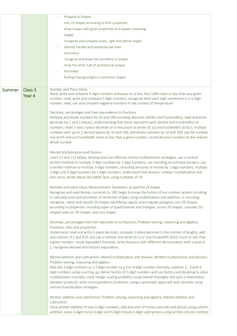|        |         | Property of shapes                                                                                                                                                                                                                                                                                                                                                                                                                                                                                                                                                                                            |
|--------|---------|---------------------------------------------------------------------------------------------------------------------------------------------------------------------------------------------------------------------------------------------------------------------------------------------------------------------------------------------------------------------------------------------------------------------------------------------------------------------------------------------------------------------------------------------------------------------------------------------------------------|
|        |         | sort 2D shapes according to their properties                                                                                                                                                                                                                                                                                                                                                                                                                                                                                                                                                                  |
|        |         | draw shapes with given properties and explain reasoning                                                                                                                                                                                                                                                                                                                                                                                                                                                                                                                                                       |
|        |         | Angles<br>÷,                                                                                                                                                                                                                                                                                                                                                                                                                                                                                                                                                                                                  |
|        |         | recognise and compare acute, right and obtuse angles                                                                                                                                                                                                                                                                                                                                                                                                                                                                                                                                                          |
|        |         | Identify Parallel and perpendicular lines                                                                                                                                                                                                                                                                                                                                                                                                                                                                                                                                                                     |
|        |         | Symmetry<br>÷                                                                                                                                                                                                                                                                                                                                                                                                                                                                                                                                                                                                 |
|        |         | recognise and draw line symmetry in shapes                                                                                                                                                                                                                                                                                                                                                                                                                                                                                                                                                                    |
|        |         | draw the other half of symmetrical shapes                                                                                                                                                                                                                                                                                                                                                                                                                                                                                                                                                                     |
|        |         | Perimeter                                                                                                                                                                                                                                                                                                                                                                                                                                                                                                                                                                                                     |
|        |         | finding missing lengths in rectlinear shapes                                                                                                                                                                                                                                                                                                                                                                                                                                                                                                                                                                  |
|        |         |                                                                                                                                                                                                                                                                                                                                                                                                                                                                                                                                                                                                               |
| Summer | Class 3 | Number and Place Value                                                                                                                                                                                                                                                                                                                                                                                                                                                                                                                                                                                        |
|        | Year 4  | Read, write and compare 4-digit numbers and place on a line; find 1000 more or less than any given<br>number; read, write and compare 5-digit numbers; recognise what each digit represents in a 5-digit<br>number; read, use and compare negative numbers in the context of temperature                                                                                                                                                                                                                                                                                                                      |
|        |         | Decimals, percentages and their equivalence to fractions<br>Multiply and divide numbers by 10 and 100 including decimals (tenths and hundredths); read and write<br>decimals (to 1 and 2 places), understanding that these represent parts (tenths and hundredths) of<br>numbers; mark 1-and 2-place decimals on a line; count in tenths (0.1s) and hundredths (0.01s); multiply<br>numbers with up to 2 decimal places by 10 and 100, and divide numbers by 10 and 100; say the number<br>one tenth and one hundredth more or less than a given number; round decimal numbers to the nearest<br>whole number |
|        |         | Mental Multiplication and Division<br>Learn 11 and 12x tables; develop and use effective mental multiplication strategies; use a vertical<br>written method to multiply 3-digit numbers by 1-digit numbers; use rounding to estimate answers; use<br>a written method to multiply 3-digit numbers, including amounts of money by 1-digit numbers; multiply<br>2-digit and 3-digit numbers by 1-digit numbers; understand how division 'undoes' multiplication and<br>vice versa; divide above the tables facts using multiples of 10                                                                          |
|        |         | Number and place value; Measurement; Geometry: properties of shapes<br>Recognise and read Roman numerals to 100; begin to know the history of our number system including<br>0; calculate area and perimeter of rectilinear shapes using multiplication and addition, or counting;<br>recognise, name and classify 2D shapes identifying regular and irregular polygons; sort 2D shapes<br>according to properties including types of quadrilaterals and triangles; revise 3D shapes, consider 2D-<br>shaped sides on 3D shapes, and sort shapes                                                              |
|        |         | Decimals, percentages and their equivalence to fractions; Problem solving, reasoning and algebra;<br>Fractions, ratio and proportion                                                                                                                                                                                                                                                                                                                                                                                                                                                                          |
|        |         | Understand, read and write 2-place decimals; compare 2-place decimals in the context of lengths; add<br>and subtract 0.1 and 0.01 and say a number one-tenth (0.1) or one-hundredth (0.01) more or less than<br>a given number; revise equivalent fractions; write fractions with different denominators with a total of<br>1; recognise decimal and fraction equivalents                                                                                                                                                                                                                                     |
|        |         | Mental addition and subtraction; Mental multiplication and division; Written multiplication and division;<br>Problem solving, reasoning and algebra<br>Add two 2-digit numbers or a 2-digit number to a 3-or 4-digit number mentally; subtract 2-, 3-and 4-                                                                                                                                                                                                                                                                                                                                                   |
|        |         | digit numbers using counting up; derive factors of 2-digit numbers and use factors and doubling to solve<br>multiplication mentally; solve integer scaling problems using mental strategies and spot a relationship<br>between products; solve correspondence problems, using a systematic approach and calculate using<br>mental multiplication strategies                                                                                                                                                                                                                                                   |
|        |         | Written addition and subtraction; Problem solving, reasoning and algebra; Mental addition and<br>subtraction                                                                                                                                                                                                                                                                                                                                                                                                                                                                                                  |
|        |         | Solve written addition of two 4-digit numbers; add amounts of money (pounds and pence) using column<br>addition; solve 4-digit minus 4-digit and 4-digit minute 3-digit subtractions using written column method                                                                                                                                                                                                                                                                                                                                                                                              |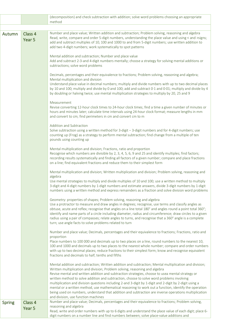|               |                   | (decomposition) and check subtraction with addition; solve word problems choosing an appropriate<br>method                                                                                                                                                                                                                                                                                                                                                                                                                                                                    |
|---------------|-------------------|-------------------------------------------------------------------------------------------------------------------------------------------------------------------------------------------------------------------------------------------------------------------------------------------------------------------------------------------------------------------------------------------------------------------------------------------------------------------------------------------------------------------------------------------------------------------------------|
|               |                   |                                                                                                                                                                                                                                                                                                                                                                                                                                                                                                                                                                               |
| Autumn        | Class 4<br>Year 5 | Number and place value; Written addition and subtraction; Problem solving, reasoning and algebra<br>Read, write, compare and order 5-digit numbers, understanding the place value and using < and >signs;<br>add and subtract multiples of 10, 100 and 1000 to and from 5-digit numbers; use written addition to<br>add two 4-digit numbers; work systematically to spot patterns                                                                                                                                                                                             |
|               |                   | Mental addition and subtraction; Number and place value<br>Add and subtract 2-3-and 4-digit numbers mentally; choose a strategy for solving mental additions or<br>subtractions; solve word problems                                                                                                                                                                                                                                                                                                                                                                          |
|               |                   | Decimals, percentages and their equivalence to fractions; Problem solving, reasoning and algebra;<br>Mental multiplication and division<br>Understand place value in decimal numbers; multiply and divide numbers with up to two decimal places<br>by 10 and 100; multiply and divide by 0 and 100; add and subtract 0.1 and 0.01; multiply and divide by 4<br>by doubling or halving twice; use mental multiplication strategies to multiply by 20, 25 and 9                                                                                                                 |
|               |                   | Measurement<br>Revise converting 12-hour clock times to 24-hour clock times; find a time a given number of minutes or<br>hours and minutes later; calculate time intervals using 24-hour clock format; measure lengths in mm<br>and convert to cm; find perimeters in cm and convert cm to m                                                                                                                                                                                                                                                                                  |
|               |                   | Addition and Subtraction<br>Solve subtraction using a written method for 3-digit - 3-digit numbers and for 4-digit numbers; use<br>counting up (Frog) as a strategy to perform mental subtraction; find change from a multiple of ten<br>pounds using counting up                                                                                                                                                                                                                                                                                                             |
|               |                   | Mental multiplication and division; Fractions, ratio and proportion<br>Recognise which numbers are divisible by 2, 3, 4, 5, 6, 9 and 25 and identify multiples; find factors;<br>recording results systematically and finding all factors of a given number; compare and place fractions<br>on a line; find equivalent fractions and reduce them to their simplest form                                                                                                                                                                                                       |
|               |                   | Mental multiplication and division; Written multiplication and division; Problem solving, reasoning and<br>algebra                                                                                                                                                                                                                                                                                                                                                                                                                                                            |
|               |                   | Use mental strategies to multiply and divide multiples of 10 and 100; use a written method to multiply<br>3-digit and 4-digit numbers by 1-digit numbers and estimate answers, divide 3-digit numbers by 1-digit<br>numbers using a written method and express remainders as a fraction and solve division word problems                                                                                                                                                                                                                                                      |
|               |                   | Geometry: properties of shapes; Problem solving, reasoning and algebra<br>Use a protractor to measure and draw angles in degrees; recognise, use terms and classify angles as<br>obtuse, acute and reflex; recognise that angles on a line total 180° and angles round a point total 360°;<br>identify and name parts of a circle including diameter, radius and circumference; draw circles to a given<br>radius using a pair of compasses; relate angles to turns, and recognise that a 360° angle is a complete<br>turn; use angle facts to solve problems related to turn |
|               |                   | Number and place value; Decimals, percentages and their equivalence to fractions; Fractions, ratio and<br>proportion<br>Place numbers to 100 000 and decimals up to two places on a line, round numbers to the nearest 10,<br>100 and 1000 and decimals up to two places to the nearest whole number; compare and order numbers                                                                                                                                                                                                                                               |
|               |                   | with up to two decimal places; reduce fractions to their simplest form; know and recognise equivalent<br>fractions and decimals to half, tenths and fifths                                                                                                                                                                                                                                                                                                                                                                                                                    |
|               |                   | Mental addition and subtraction; Written addition and subtraction; Mental multiplication and division;<br>Written multiplication and division; Problem solving, reasoning and algebra                                                                                                                                                                                                                                                                                                                                                                                         |
|               |                   | Revise mental and written addition and subtraction strategies, choose to usea mental strategy or<br>written method to solve addition and subtraction, choose to solve word problems involving<br>multiplication and division questions including 2-and 3-digit by 1-digit and 2-digit by 2-digit using a<br>mental or a written method, use mathematical reasoning to work out a function, identify the operation<br>being used on numbers, understand that addition and subtraction are inverse operations multiplication                                                    |
|               |                   | and division, use function machines                                                                                                                                                                                                                                                                                                                                                                                                                                                                                                                                           |
| <b>Spring</b> | Class 4<br>Year 5 | Number and place value; Decimals, percentages and their equivalence to fractions; Problem solving,<br>reasoning and algebra<br>Read, write and order numbers with up to 6 digits and understand the place value of each digit; place 6-                                                                                                                                                                                                                                                                                                                                       |
|               |                   | digit numbers on a number line and find numbers between; solve place-value additions and                                                                                                                                                                                                                                                                                                                                                                                                                                                                                      |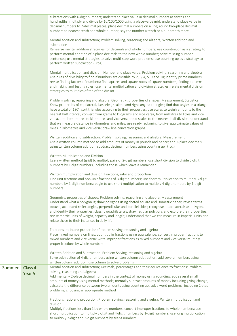|        |                   | subtractions with 6-digit numbers; understand place value in decimal numbers as tenths and<br>hundredths; multiply and divide by 10/100/1000 using a place-value grid; understand place value in<br>decimal numbers to 2-decimal places; place decimal numbers on a line; round two-place decimal<br>numbers to nearest tenth and whole number; say the number a tenth or a hundredth more                                                                                                                                                                                                                                                                                                                                      |
|--------|-------------------|---------------------------------------------------------------------------------------------------------------------------------------------------------------------------------------------------------------------------------------------------------------------------------------------------------------------------------------------------------------------------------------------------------------------------------------------------------------------------------------------------------------------------------------------------------------------------------------------------------------------------------------------------------------------------------------------------------------------------------|
|        |                   | Mental addition and subtraction; Problem solving, reasoning and algebra; Written addition and<br>subtraction                                                                                                                                                                                                                                                                                                                                                                                                                                                                                                                                                                                                                    |
|        |                   | Rehearse mental addition strategies for decimals and whole numbers; use counting on as a strategy to<br>perform mental addition of 2-place decimals to the next whole number; solve missing number<br>sentences; use mental strategies to solve multi-step word problems; use counting up as a strategy to<br>perform written subtraction (Frog)                                                                                                                                                                                                                                                                                                                                                                                |
|        |                   | Mental multiplication and division; Number and place value; Problem solving, reasoning and algebra<br>Use rules of divisibility to find if numbers are divisible by 2, 3, 4, 5, 9 and 10; identity prime numbers;<br>revise finding factors of numbers; find squares and square roots of square numbers; finding patterns<br>and making and testing rules; use mental multiplication and division strategies; relate mental division<br>strategies to multiples of ten of the divisor                                                                                                                                                                                                                                           |
|        |                   | Problem solving, reasoning and algebra; Geometry: properties of shapes; Measurement; Statistics<br>Know properties of equilateral, isosceles, scalene and right-angled triangles; find that angles in a triangle<br>have a total of 180°; sort triangles according to their properties; use scales to weigh amounts to the<br>nearest half interval; convert from grams to kilograms and vice versa, from millilitres to litres and vice<br>versa, and from metres to kilometres and vice versa; read scales to the nearest half division; understand<br>that we measure distance in kilometres and miles; use ready reckoning to give approximate values of<br>miles in kilometres and vice versa; draw line conversion graphs |
|        |                   | Written addition and subtraction; Problem solving, reasoning and algebra; Measurement<br>Use a written column method to add amounts of money in pounds and pence; add 2-place decimals<br>using written column addition; subtract decimal numbers using counting up (Frog)                                                                                                                                                                                                                                                                                                                                                                                                                                                      |
|        |                   | Written Multiplication and Division<br>Use a written method (grid) to multiply pairs of 2-digit numbers; use short division to divide 3-digit<br>numbers by 1-digit numbers, including those which leave a remainder                                                                                                                                                                                                                                                                                                                                                                                                                                                                                                            |
|        |                   | Written multiplication and division; Fractions, ratio and proportion<br>Find unit fractions and non-unit fractions of 3-digit numbers; use short multiplication to multiply 3-digit<br>numbers by 1-digit numbers; begin to use short multiplication to multiply 4-digit numbers by 1-digit<br>numbers                                                                                                                                                                                                                                                                                                                                                                                                                          |
|        |                   | Geometry: properties of shapes; Problem solving, reasoning and algebra; Measurement<br>Understand what a polygon is; draw polygons using dotted square and isometric paper; revise terms<br>obtuse, acute and reflex angles, perpendicular and parallel sides; recognise quadrilaterals as polygons<br>and identify their properties; classify quadrilaterals; draw regular polygons and explore their properties;<br>revise metric units of weight, capacity and length; understand that we can measure in imperial units and<br>relate these to their instances in daily life                                                                                                                                                 |
|        |                   | Fractions, ratio and proportion; Problem solving, reasoning and algebra<br>Place mixed numbers on lines; count up in fractions using equivalence; convert improper fractions to<br>mixed numbers and vice versa; write improper fractions as mixed numbers and vice versa; multiply<br>proper fractions by whole numbers                                                                                                                                                                                                                                                                                                                                                                                                        |
|        |                   | Written Addition and Subtraction; Problem Solving, reasoning and algebra<br>Solve subtraction of 4-digit numbers using written column subtraction; add several numbers using<br>written column addition; use column to solve problems                                                                                                                                                                                                                                                                                                                                                                                                                                                                                           |
| Summer | Class 4           | Mental addition and subtraction; Decimals, percentages and their equivalence to fractions; Problem                                                                                                                                                                                                                                                                                                                                                                                                                                                                                                                                                                                                                              |
|        | Year <sub>5</sub> | solving, reasoning and algebra<br>Add mentally 2-place decimal numbers in the context of money using rounding; add several small<br>amounts of money using mental methods; mentally subtract amounts of money including giving change;<br>calculate the difference between two amounts using counting up; solve word problems, including 2-step<br>problems, choosing an appropriate method                                                                                                                                                                                                                                                                                                                                     |
|        |                   | Fractions, ratio and proportion; Problem solving, reasoning and algebra; Written multiplication and<br>division<br>Multiply fractions less than 1 by whole numbers, convert improper fractions to whole numbers; use<br>short multiplication to multiply 3-digit and 4-digit numbers by 1-digit numbers; use long multiplication                                                                                                                                                                                                                                                                                                                                                                                                |
|        |                   | to multiply 2-digit and 3-digit numbers by teens numbers                                                                                                                                                                                                                                                                                                                                                                                                                                                                                                                                                                                                                                                                        |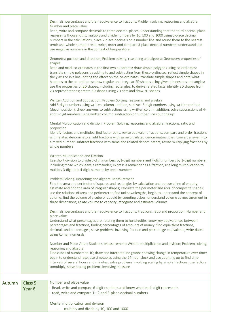|        |                              | Decimals, percentages and their equivalence to fractions; Problem solving, reasoning and algebra;<br>Number and place value<br>Read, write and compare decimals to three decimal places, understanding that the third decimal place<br>represents thousandths; multiply and divide numbers by 10, 100 and 1000 using 3-place decimal<br>numbers in the calculations; place 2-place decimals on a number line and round them to the nearest<br>tenth and whole number; read, write, order and compare 3-place decimal numbers; understand and<br>use negative numbers in the context of temperature<br>Geometry: position and direction; Problem solving, reasoning and algebra; Geometry: properties of<br>shapes |
|--------|------------------------------|-------------------------------------------------------------------------------------------------------------------------------------------------------------------------------------------------------------------------------------------------------------------------------------------------------------------------------------------------------------------------------------------------------------------------------------------------------------------------------------------------------------------------------------------------------------------------------------------------------------------------------------------------------------------------------------------------------------------|
|        |                              | Read and mark co-ordinates in the first two quadrants; draw simple polygons using co-ordinates;<br>translate simple polygons by adding to and subtracting from theco-ordinates; reflect simple shapes in<br>the y axis or in a line, noting the effect on the co-ordinates; translate simple shapes and note what<br>happens to the co-ordinates; draw regular and irregular 2D shapes using given dimensions and angles;<br>use the properties of 2D shapes, including rectangles, to derive related facts; identify 3D shapes from<br>2D representations; create 3D shapes using 2D nets and draw 3D shapes                                                                                                     |
|        |                              | Written Addition and Subtraction; Problem Solving, reasoning and algebra<br>Add 5-digit numbers using written column addition; subtract 5-digit numbers using written method<br>(decomposition); check answers to subtractions using written column addition; solve subtractions of 4-<br>and 5-digit numbers using written column subtraction or number line counting up                                                                                                                                                                                                                                                                                                                                         |
|        |                              | Mental Multiplication and division; Problem Solving, reasoning and algebra; Fractions, ratio and<br>proportion<br>Identify factors and multiples, find factor pairs; revise equivalent fractions; compare and order fractions<br>with related denominators; add fractions with same or related denominators, then convert answer into<br>a mixed number; subtract fractions with same and related denominators, revise multiplying fractions by<br>whole numbers                                                                                                                                                                                                                                                  |
|        |                              | Written Multiplication and Division<br>Use short division to divide 3-digit numbers by1-digit numbers and 4-digit numbers by 1-digit numbers,<br>including those which leave a remainder; express a remainder as a fraction; use long multiplication to<br>multiply 3-digit and 4-digit numbers by teens numbers                                                                                                                                                                                                                                                                                                                                                                                                  |
|        |                              | Problem Solving. Reasoning and algebra; Measurement<br>Find the area and perimeter of squares and rectangles by calculation and pursue a line of enquiry;<br>estimate and find the area of irregular shapes; calculate the perimeter and area of composite shapes;<br>use the relations of area and perimeter to find unknownlengths; begin to understand the concept of<br>volume; find the volume of a cube or cuboid by counting cubes; understand volume as measurement in<br>three dimensions; relate volume to capacity; recognise and estimate volumes                                                                                                                                                     |
|        |                              | Decimals, percentages and their equivalence to fractions; Fractions, ratio and proportion; Number and<br>place value<br>Understand what percentages are, relating them to hundredths; know key equivalences between<br>percentages and fractions, finding percentages of amounts of money; find equivalent fractions,<br>decimals and percentages; solve problems involving fraction and percentage equivalents; write dates<br>using Roman numerals                                                                                                                                                                                                                                                              |
|        |                              | Number and Place Value; Statistics; Measurement; Written multiplication and division; Problem solving,<br>reasoning and algebra<br>Find cubes of numbers to 10; draw and interpret line graphs showing change in temperature over time;<br>begin to understand rate; use timetables using the 24-hour clock and use counting up to find time<br>intervals of several hours and minutes; solve problems involving scaling by simple fractions; use factors<br>tomultiply; solve scaling problems involving measure                                                                                                                                                                                                 |
|        |                              |                                                                                                                                                                                                                                                                                                                                                                                                                                                                                                                                                                                                                                                                                                                   |
| Autumn | Class 5<br>Year <sub>6</sub> | Number and place value<br>- Read, write and compare 6-digit numbers and know what each digit represents<br>- read, write and compare 1-, 2-and 3-place decimal numbers                                                                                                                                                                                                                                                                                                                                                                                                                                                                                                                                            |
|        |                              | Mental multiplication and division<br>multiply and divide by 10, 100 and 1000                                                                                                                                                                                                                                                                                                                                                                                                                                                                                                                                                                                                                                     |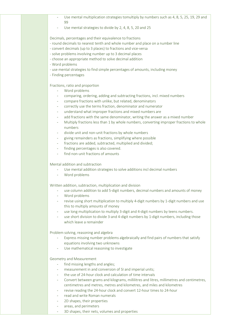- Use mental multiplication strategies tomultiply by numbers such as 4, 8, 5, 25, 19, 29 and 99
- Use mental strategies to divide by 2, 4, 8, 5, 20 and 25

Decimals, percentages and their equivalence to fractions

- round decimals to nearest tenth and whole number and place on a number line
- convert decimals (up to 3 places) to fractions and vice-versa
- solve problems involving number up to 3 decimal places
- choose an appropriate method to solve decimal addition
- Word problems
- use mental strategies to find simple percentages of amounts, including money
- Finding percentages

## Fractions, ratio and proportion

- Word problems
- comparing, ordering, adding and subtracting fractions, incl. mixed numbers
- compare fractions with unlike, but related, denominators
- correctly use the terms fraction, denominator and numerator
- understand what improper fractions and mixed numbers are
- add fractions with the same denominator, writing the answer as a mixed number
- Multiply fractions less than 1 by whole numbers, converting improper fractions to whole numbers
- divide unit and non-unit fractions by whole numbers
- giving remainders as fractions, simplifying where possible
- fractions are added, subtracted, multiplied and divided;
- finding percentages is also covered.
- find non-unit fractions of amounts

## Mental addition and subtraction

- Use mental addition strategies to solve additions incl decimal numbers
- Word problems

Written addition, subtraction, multiplication and division

- use column addition to add 5-digit numbers, decimal numbers and amounts of money
- Word problems
- revise using short multiplication to multiply 4-digit numbers by 1-digit numbers and use this to multiply amounts of money
- use long multiplication to multiply 3-digit and 4-digit numbers by teens numbers.
- use short division to divide 3-and 4-digit numbers by 1-digit numbers, including those which leave a remainder

Problem solving, reasoning and algebra

- Express missing number problems algebraically and find pairs of numbers that satisfy equations involving two unknowns
- Use mathematical reasoning to investigate

Geometry and Measurement

- find missing lengths and angles;
- measurement in and conversion of SI and imperial units;
- the use of 24-hour clock and calculation of time intervals
- Convert between grams and kilograms, millilitres and litres, millimetres and centimetres, centimetres and metres, metres and kilometres, and miles and kilometres
- revise reading the 24-hour clock and convert 12-hour times to 24-hour
- read and write Roman numerals
- 2D shapes, their properties
- areas, and perimeters
- 3D shapes, their nets, volumes and properties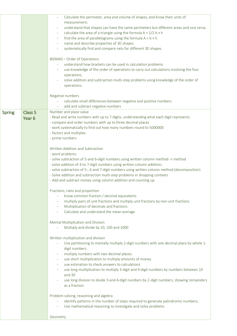|               |                    | Calculate the perimeter, area and volume of shapes, and know their units of<br>measurement;<br>understand that shapes can have the same perimeters but different areas and vice versa<br>calculate the area of a triangle using the formula $A = 1/2$ b $\times$ h<br>$\blacksquare$<br>find the area of parallelograms using the formula $A = b \times h$<br>$\overline{\phantom{a}}$<br>name and describe properties of 3D shapes<br>systematically find and compare nets for different 3D shapes.<br><b>BIDMAS</b> - Order of Operations |
|---------------|--------------------|---------------------------------------------------------------------------------------------------------------------------------------------------------------------------------------------------------------------------------------------------------------------------------------------------------------------------------------------------------------------------------------------------------------------------------------------------------------------------------------------------------------------------------------------|
|               |                    | understand how brackets can be used in calculation problems                                                                                                                                                                                                                                                                                                                                                                                                                                                                                 |
|               |                    | use knowledge of the order of operations to carry out calculations involving the four<br>operations,                                                                                                                                                                                                                                                                                                                                                                                                                                        |
|               |                    | solve addition and subtraction multi-step problems using knowledge of the order of<br>operations.                                                                                                                                                                                                                                                                                                                                                                                                                                           |
|               |                    | Negative numbers                                                                                                                                                                                                                                                                                                                                                                                                                                                                                                                            |
|               |                    | calculate small differences between negative and positive numbers<br>add and subtract negative numbers                                                                                                                                                                                                                                                                                                                                                                                                                                      |
| <b>Spring</b> | Class <sub>5</sub> | Number and place value                                                                                                                                                                                                                                                                                                                                                                                                                                                                                                                      |
|               | Year <sub>6</sub>  | - Read and write numbers with up to 7-digits, understanding what each digit represents                                                                                                                                                                                                                                                                                                                                                                                                                                                      |
|               |                    | - compare and order numbers with up to three decimal places                                                                                                                                                                                                                                                                                                                                                                                                                                                                                 |
|               |                    | - work systematically to find out how many numbers round to 5000000<br>- factors and multiples                                                                                                                                                                                                                                                                                                                                                                                                                                              |
|               |                    | - prime numbers                                                                                                                                                                                                                                                                                                                                                                                                                                                                                                                             |
|               |                    |                                                                                                                                                                                                                                                                                                                                                                                                                                                                                                                                             |
|               |                    | Written Addition and Subtraction<br>- word problems                                                                                                                                                                                                                                                                                                                                                                                                                                                                                         |
|               |                    | - solve subtraction of 5-and 6-digit numbers using written column method- n method                                                                                                                                                                                                                                                                                                                                                                                                                                                          |
|               |                    | - solve addition of 4-to 7-digit numbers using written column addition;                                                                                                                                                                                                                                                                                                                                                                                                                                                                     |
|               |                    | - solve subtraction of 5-, 6-and 7-digit numbers using written column method (decomposition)                                                                                                                                                                                                                                                                                                                                                                                                                                                |
|               |                    | - Solve addition and subtraction multi-step problems in shopping contexts<br>- Add and subtract money using column addition and counting up                                                                                                                                                                                                                                                                                                                                                                                                 |
|               |                    | Fractions, ratio and proportion                                                                                                                                                                                                                                                                                                                                                                                                                                                                                                             |
|               |                    | know common fraction / decimal equivalents                                                                                                                                                                                                                                                                                                                                                                                                                                                                                                  |
|               |                    | multiply pairs of unit fractions and multiply unit fractions by non-unit fractions                                                                                                                                                                                                                                                                                                                                                                                                                                                          |
|               |                    | Multiplication of decimals and fractions<br>Calculate and understand the mean average                                                                                                                                                                                                                                                                                                                                                                                                                                                       |
|               |                    |                                                                                                                                                                                                                                                                                                                                                                                                                                                                                                                                             |
|               |                    | Mental Multiplication and Division                                                                                                                                                                                                                                                                                                                                                                                                                                                                                                          |
|               |                    | Multiply and divide by 10, 100 and 1000                                                                                                                                                                                                                                                                                                                                                                                                                                                                                                     |
|               |                    | Written multiplication and division                                                                                                                                                                                                                                                                                                                                                                                                                                                                                                         |
|               |                    | Use partitioning to mentally multiply 2-digit numbers with one decimal place by whole 1-                                                                                                                                                                                                                                                                                                                                                                                                                                                    |
|               |                    | digit numbers<br>multiply numbers with two decimal places<br>۰                                                                                                                                                                                                                                                                                                                                                                                                                                                                              |
|               |                    | use short multiplication to multiply amounts of money<br>۰                                                                                                                                                                                                                                                                                                                                                                                                                                                                                  |
|               |                    | use estimation to check answers to calculations                                                                                                                                                                                                                                                                                                                                                                                                                                                                                             |
|               |                    | use long multiplication to multiply 3-digit and 4-digit numbers by numbers between 10                                                                                                                                                                                                                                                                                                                                                                                                                                                       |
|               |                    | and 30<br>use long division to divide 3-and 4-digit numbers by 2-digit numbers, showing remainders<br>as a fraction                                                                                                                                                                                                                                                                                                                                                                                                                         |
|               |                    |                                                                                                                                                                                                                                                                                                                                                                                                                                                                                                                                             |
|               |                    | Problem solving, reasoning and algebra<br>identify patterns in the number of steps required to generate palindromic numbers;<br>$\overline{\phantom{0}}$                                                                                                                                                                                                                                                                                                                                                                                    |
|               |                    | Use mathematical reasoning to investigate and solve problems<br>$\qquad \qquad \blacksquare$                                                                                                                                                                                                                                                                                                                                                                                                                                                |
|               |                    | Geometry                                                                                                                                                                                                                                                                                                                                                                                                                                                                                                                                    |
|               |                    |                                                                                                                                                                                                                                                                                                                                                                                                                                                                                                                                             |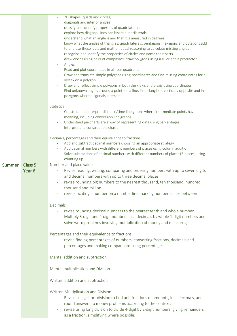|        |                    | 2D shapes (quads and circles)                                                                                                                                                                                                                     |  |  |
|--------|--------------------|---------------------------------------------------------------------------------------------------------------------------------------------------------------------------------------------------------------------------------------------------|--|--|
|        |                    | diagonals and interior angles                                                                                                                                                                                                                     |  |  |
|        |                    | classify and identify properties of quadrilaterals                                                                                                                                                                                                |  |  |
|        |                    | explore how diagonal lines can bisect quadrilaterals                                                                                                                                                                                              |  |  |
|        |                    | understand what an angle is and that it is measured in degrees                                                                                                                                                                                    |  |  |
|        |                    | know what the angles of triangles, quadrilaterals, pentagons, hexagons and octagons add<br>to and use these facts and mathematical reasoning to calculate missing angles<br>recognise and identify the properties of circles and name their parts |  |  |
|        |                    | draw circles using pairs of compasses; draw polygons using a ruler and a protractor<br>Angles                                                                                                                                                     |  |  |
|        |                    | Read and plot coordinates in all four quadrants                                                                                                                                                                                                   |  |  |
|        |                    | Draw and translate simple polygons using coordinates and find missing coordinates for a<br>$\overline{\phantom{a}}$<br>vertex on a polygon                                                                                                        |  |  |
|        |                    | Draw and reflect simple polygons in both the x-axis and y-axis using coordinates                                                                                                                                                                  |  |  |
|        |                    | Find unknown angles around a point, on a line, in a triangle or vertically opposite and in<br>$\overline{\phantom{a}}$                                                                                                                            |  |  |
|        |                    | polygons where diagonals intersect                                                                                                                                                                                                                |  |  |
|        |                    | <b>Statistics</b>                                                                                                                                                                                                                                 |  |  |
|        |                    | Construct and interpret distance/time line graphs where intermediate points have<br>meaning, including conversion line graphs                                                                                                                     |  |  |
|        |                    | Understand pie charts are a way of representing data using percentages                                                                                                                                                                            |  |  |
|        |                    | Interpret and construct pie charts<br>$\overline{\phantom{a}}$                                                                                                                                                                                    |  |  |
|        |                    | Decimals, percentages and their equivalence to fractions                                                                                                                                                                                          |  |  |
|        |                    | Add and subtract decimal numbers choosing an appropriate strategy                                                                                                                                                                                 |  |  |
|        |                    | Add decimal numbers with different numbers of places using column addition                                                                                                                                                                        |  |  |
|        |                    | Solve subtractions of decimal numbers with different numbers of places (2-places) using                                                                                                                                                           |  |  |
|        |                    | counting up                                                                                                                                                                                                                                       |  |  |
| Summer | Class <sub>5</sub> | Number and place value                                                                                                                                                                                                                            |  |  |
|        | Year <sub>6</sub>  | Revise reading, writing, comparing and ordering numbers with up to seven digits                                                                                                                                                                   |  |  |
|        |                    | and decimal numbers with up to three decimal places                                                                                                                                                                                               |  |  |
|        |                    | revise rounding big numbers to the nearest thousand, ten thousand, hundred                                                                                                                                                                        |  |  |
|        |                    | thousand and million                                                                                                                                                                                                                              |  |  |
|        |                    | revise locating a number on a number line marking numbers it lies between                                                                                                                                                                         |  |  |
|        |                    | Decimals                                                                                                                                                                                                                                          |  |  |
|        |                    | revise rounding decimal numbers to the nearest tenth and whole number                                                                                                                                                                             |  |  |
|        |                    | Multiply 3-digit and 4-digit numbers incl. decimals by whole 1-digit numbers and                                                                                                                                                                  |  |  |
|        |                    | solve word problems involving multiplication of money and measures;                                                                                                                                                                               |  |  |
|        |                    | Percentages and their equivalence to fractions                                                                                                                                                                                                    |  |  |
|        |                    | revise finding percentages of numbers, converting fractions, decimals and                                                                                                                                                                         |  |  |
|        |                    |                                                                                                                                                                                                                                                   |  |  |
|        |                    | percentages and making comparisons using percentages                                                                                                                                                                                              |  |  |
|        |                    | Mental addition and subtraction                                                                                                                                                                                                                   |  |  |
|        |                    | Mental multiplication and Division                                                                                                                                                                                                                |  |  |
|        |                    | Written addition and subtraction                                                                                                                                                                                                                  |  |  |
|        |                    | Written Multiplication and Division                                                                                                                                                                                                               |  |  |
|        |                    | Revise using short division to find unit fractions of amounts, incl. decimals, and                                                                                                                                                                |  |  |
|        |                    | round answers to money problems according to the context;                                                                                                                                                                                         |  |  |
|        |                    | revise using long division to divide 4-digit by 2-digit numbers, giving remainders                                                                                                                                                                |  |  |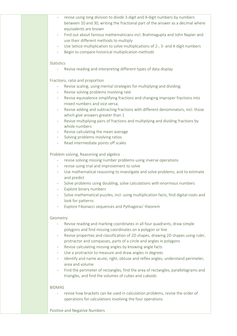| revise using long division to divide 3-digit and 4-digit numbers by numbers                                   |
|---------------------------------------------------------------------------------------------------------------|
| between 10 and 30, writing the fractional part of the answer as a decimal where                               |
| equivalents are known                                                                                         |
| Find out about famous mathematicians incl. Brahmagupta and John Napier and<br>$\overline{\phantom{a}}$        |
| use their different methods to multiply                                                                       |
| Use lattice multiplication to solve multiplications of 2-, 3- and 4-digit numbers<br>$\overline{\phantom{a}}$ |
| Begin to compare historical multiplication methods<br>$\overline{\phantom{a}}$                                |
|                                                                                                               |
| Statistics                                                                                                    |
| Revise reading and interpreting different types of data display                                               |
|                                                                                                               |
| Fractions, ratio and proportion                                                                               |
| Revise scaling, using mental strategies for multiplying and dividing;                                         |
| Revise solving problems involving rate<br>۰                                                                   |
| Revise equivalence simplifying fractions and changing improper fractions into                                 |
| mixed numbers and vice versa;                                                                                 |
| Revise adding and subtracting fractions with different denominators, incl. those<br>$\overline{\phantom{a}}$  |
| which give answers greater than 1                                                                             |
| Revise multiplying pairs of fractions and multiplying and dividing fractions by<br>$\overline{\phantom{a}}$   |
| whole numbers                                                                                                 |
| Revise calculating the mean average                                                                           |
| Solving problems involving ratios<br>$\overline{\phantom{a}}$                                                 |
| Read intermediate points off scales<br>$\overline{\phantom{a}}$                                               |
| Problem solving, Reasoning and algebra                                                                        |
| revise solving missing number problems using inverse operations                                               |
| revise using trial and improvement to solve<br>۰                                                              |
| Use mathematical reasoning to investigate and solve problems, and to estimate<br>$\overline{\phantom{a}}$     |
| and predict                                                                                                   |
| Solve problems using doubling, solve calculations with enormous numbers<br>$\overline{\phantom{a}}$           |
| Explore binary numbers                                                                                        |
| Solve mathematical puzzles; incl. using multiplication facts, find digital roots and                          |
| look for patterns                                                                                             |
| Explore Fibonacci sequences and Pythagoras' theorem                                                           |
|                                                                                                               |
| Geometry                                                                                                      |
| Revise reading and marking coordinates in all four quadrants, draw simple                                     |
| polygons and find missing coordinates on a polygon or line                                                    |
| Revise properties and classification of 2D shapes, drawing 2D shapes using ruler,<br>$\overline{\phantom{a}}$ |
| protractor and compasses, parts of a circle and angles in polygons                                            |
| Revise calculating missing angles by knowing angle facts<br>$\overline{\phantom{a}}$                          |
| Use a protractor to measure and draw angles in degrees<br>$\overline{\phantom{a}}$                            |
| Identify and name acute, right, obtuse and reflex angles; understand perimeter,<br>$\overline{\phantom{a}}$   |
| area and volume                                                                                               |
| Find the perimeter of rectangles, find the area of rectangles, parallelograms and                             |
| triangles, and find the volumes of cubes and cuboids                                                          |
|                                                                                                               |
| <b>BIDMAS</b>                                                                                                 |
| revise how brackets can be used in calculation problems, revise the order of                                  |
| operations for calculations involving the four operations                                                     |
|                                                                                                               |

## Positive and Negative Numbers